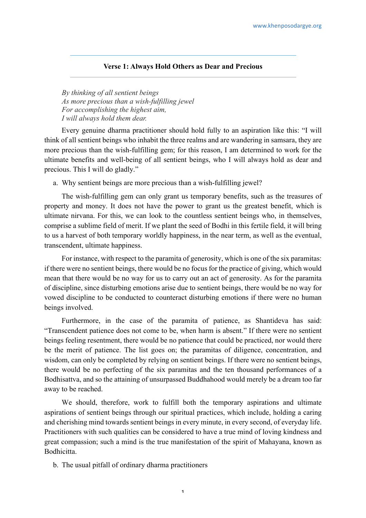## **Verse 1: Always Hold Others as Dear and Precious**

*By thinking of all sentient beings As more precious than a wish-fulfilling jewel For accomplishing the highest aim, I will always hold them dear.*

Every genuine dharma practitioner should hold fully to an aspiration like this: "I will think of all sentient beings who inhabit the three realms and are wandering in samsara, they are more precious than the wish-fulfilling gem; for this reason, I am determined to work for the ultimate benefits and well-being of all sentient beings, who I will always hold as dear and precious. This I will do gladly."

a. Why sentient beings are more precious than a wish-fulfilling jewel?

The wish-fulfilling gem can only grant us temporary benefits, such as the treasures of property and money. It does not have the power to grant us the greatest benefit, which is ultimate nirvana. For this, we can look to the countless sentient beings who, in themselves, comprise a sublime field of merit. If we plant the seed of Bodhi in this fertile field, it will bring to us a harvest of both temporary worldly happiness, in the near term, as well as the eventual, transcendent, ultimate happiness.

For instance, with respect to the paramita of generosity, which is one of the six paramitas: if there were no sentient beings, there would be no focus for the practice of giving, which would mean that there would be no way for us to carry out an act of generosity. As for the paramita of discipline, since disturbing emotions arise due to sentient beings, there would be no way for vowed discipline to be conducted to counteract disturbing emotions if there were no human beings involved.

Furthermore, in the case of the paramita of patience, as Shantideva has said: "Transcendent patience does not come to be, when harm is absent." If there were no sentient beings feeling resentment, there would be no patience that could be practiced, nor would there be the merit of patience. The list goes on; the paramitas of diligence, concentration, and wisdom, can only be completed by relying on sentient beings. If there were no sentient beings, there would be no perfecting of the six paramitas and the ten thousand performances of a Bodhisattva, and so the attaining of unsurpassed Buddhahood would merely be a dream too far away to be reached.

We should, therefore, work to fulfill both the temporary aspirations and ultimate aspirations of sentient beings through our spiritual practices, which include, holding a caring and cherishing mind towards sentient beings in every minute, in every second, of everyday life. Practitioners with such qualities can be considered to have a true mind of loving kindness and great compassion; such a mind is the true manifestation of the spirit of Mahayana, known as Bodhicitta.

b. The usual pitfall of ordinary dharma practitioners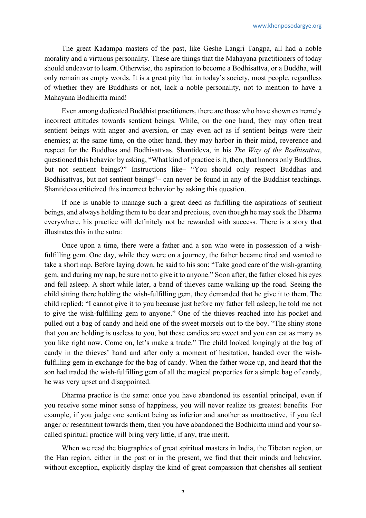The great Kadampa masters of the past, like Geshe Langri Tangpa, all had a noble morality and a virtuous personality. These are things that the Mahayana practitioners of today should endeavor to learn. Otherwise, the aspiration to become a Bodhisattva, or a Buddha, will only remain as empty words. It is a great pity that in today's society, most people, regardless of whether they are Buddhists or not, lack a noble personality, not to mention to have a Mahayana Bodhicitta mind!

Even among dedicated Buddhist practitioners, there are those who have shown extremely incorrect attitudes towards sentient beings. While, on the one hand, they may often treat sentient beings with anger and aversion, or may even act as if sentient beings were their enemies; at the same time, on the other hand, they may harbor in their mind, reverence and respect for the Buddhas and Bodhisattvas. Shantideva, in his *The Way of the Bodhisattva*, questioned this behavior by asking, "What kind of practice is it, then, that honors only Buddhas, but not sentient beings?" Instructions like– "You should only respect Buddhas and Bodhisattvas, but not sentient beings"– can never be found in any of the Buddhist teachings. Shantideva criticized this incorrect behavior by asking this question.

If one is unable to manage such a great deed as fulfilling the aspirations of sentient beings, and always holding them to be dear and precious, even though he may seek the Dharma everywhere, his practice will definitely not be rewarded with success. There is a story that illustrates this in the sutra:

Once upon a time, there were a father and a son who were in possession of a wishfulfilling gem. One day, while they were on a journey, the father became tired and wanted to take a short nap. Before laying down, he said to his son: "Take good care of the wish-granting gem, and during my nap, be sure not to give it to anyone." Soon after, the father closed his eyes and fell asleep. A short while later, a band of thieves came walking up the road. Seeing the child sitting there holding the wish-fulfilling gem, they demanded that he give it to them. The child replied: "I cannot give it to you because just before my father fell asleep, he told me not to give the wish-fulfilling gem to anyone." One of the thieves reached into his pocket and pulled out a bag of candy and held one of the sweet morsels out to the boy. "The shiny stone that you are holding is useless to you, but these candies are sweet and you can eat as many as you like right now. Come on, let's make a trade." The child looked longingly at the bag of candy in the thieves' hand and after only a moment of hesitation, handed over the wishfulfilling gem in exchange for the bag of candy. When the father woke up, and heard that the son had traded the wish-fulfilling gem of all the magical properties for a simple bag of candy, he was very upset and disappointed.

Dharma practice is the same: once you have abandoned its essential principal, even if you receive some minor sense of happiness, you will never realize its greatest benefits. For example, if you judge one sentient being as inferior and another as unattractive, if you feel anger or resentment towards them, then you have abandoned the Bodhicitta mind and your socalled spiritual practice will bring very little, if any, true merit.

When we read the biographies of great spiritual masters in India, the Tibetan region, or the Han region, either in the past or in the present, we find that their minds and behavior, without exception, explicitly display the kind of great compassion that cherishes all sentient